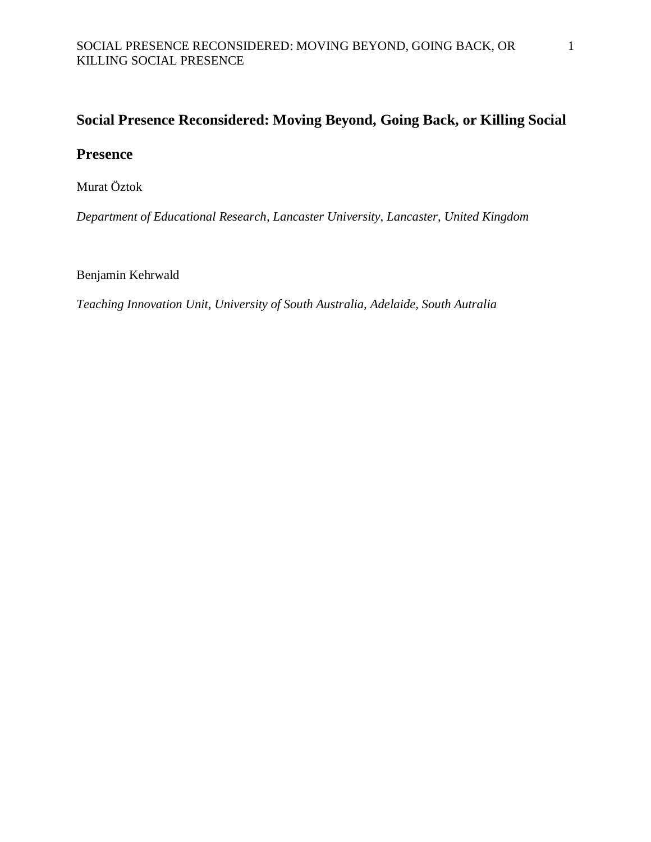# **Social Presence Reconsidered: Moving Beyond, Going Back, or Killing Social**

# **Presence**

Murat Öztok

*Department of Educational Research, Lancaster University, Lancaster, United Kingdom*

Benjamin Kehrwald

*Teaching Innovation Unit, University of South Australia, Adelaide, South Autralia*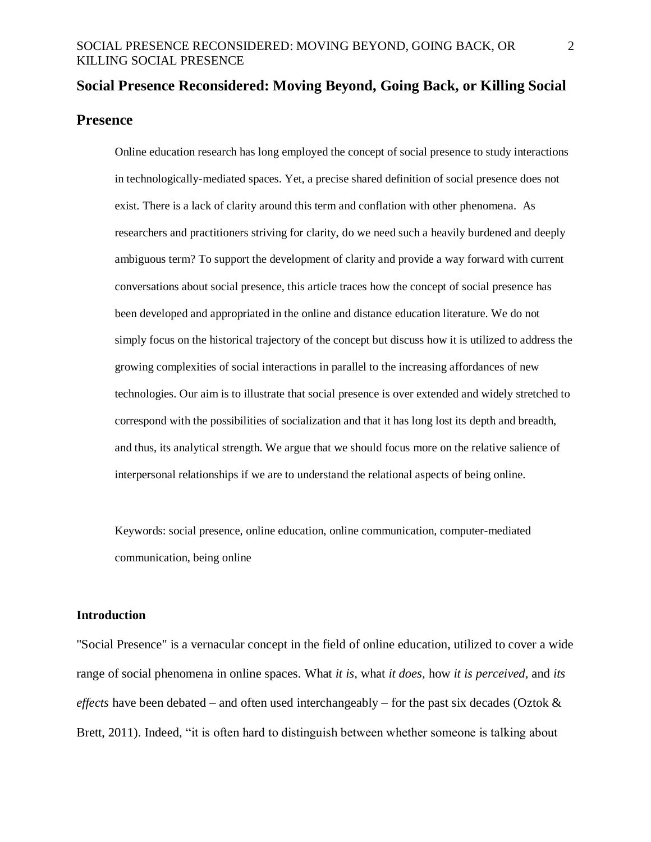# **Social Presence Reconsidered: Moving Beyond, Going Back, or Killing Social Presence**

Online education research has long employed the concept of social presence to study interactions in technologically-mediated spaces. Yet, a precise shared definition of social presence does not exist. There is a lack of clarity around this term and conflation with other phenomena. As researchers and practitioners striving for clarity, do we need such a heavily burdened and deeply ambiguous term? To support the development of clarity and provide a way forward with current conversations about social presence, this article traces how the concept of social presence has been developed and appropriated in the online and distance education literature. We do not simply focus on the historical trajectory of the concept but discuss how it is utilized to address the growing complexities of social interactions in parallel to the increasing affordances of new technologies. Our aim is to illustrate that social presence is over extended and widely stretched to correspond with the possibilities of socialization and that it has long lost its depth and breadth, and thus, its analytical strength. We argue that we should focus more on the relative salience of interpersonal relationships if we are to understand the relational aspects of being online.

Keywords: social presence, online education, online communication, computer-mediated communication, being online

#### **Introduction**

"Social Presence" is a vernacular concept in the field of online education, utilized to cover a wide range of social phenomena in online spaces. What *it is,* what *it does,* how *it is perceived,* and *its effects* have been debated – and often used interchangeably – for the past six decades (Oztok & Brett, 2011). Indeed, "it is often hard to distinguish between whether someone is talking about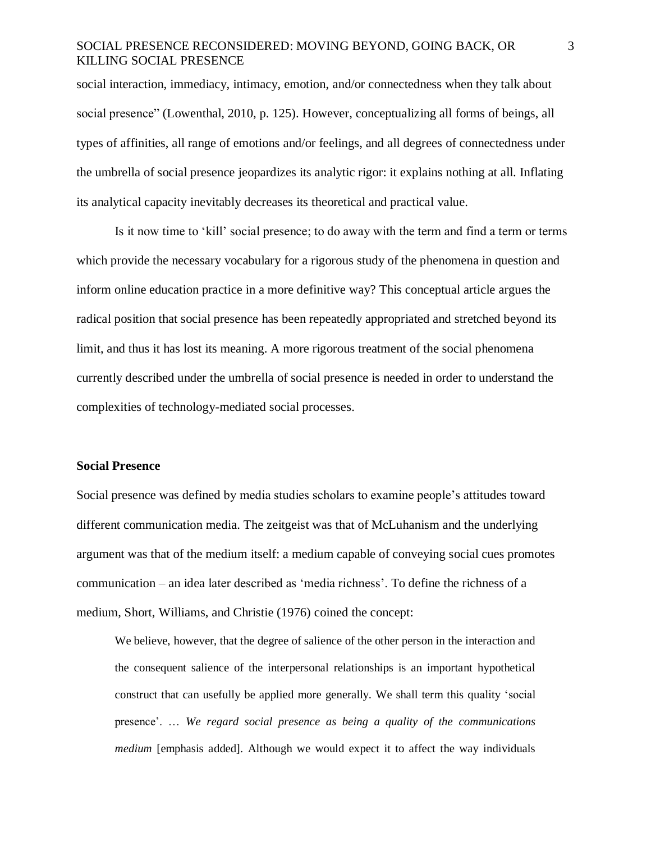social interaction, immediacy, intimacy, emotion, and/or connectedness when they talk about social presence" (Lowenthal, 2010, p. 125). However, conceptualizing all forms of beings, all types of affinities, all range of emotions and/or feelings, and all degrees of connectedness under the umbrella of social presence jeopardizes its analytic rigor: it explains nothing at all. Inflating its analytical capacity inevitably decreases its theoretical and practical value.

Is it now time to 'kill' social presence; to do away with the term and find a term or terms which provide the necessary vocabulary for a rigorous study of the phenomena in question and inform online education practice in a more definitive way? This conceptual article argues the radical position that social presence has been repeatedly appropriated and stretched beyond its limit, and thus it has lost its meaning. A more rigorous treatment of the social phenomena currently described under the umbrella of social presence is needed in order to understand the complexities of technology-mediated social processes.

#### **Social Presence**

Social presence was defined by media studies scholars to examine people's attitudes toward different communication media. The zeitgeist was that of McLuhanism and the underlying argument was that of the medium itself: a medium capable of conveying social cues promotes communication – an idea later described as 'media richness'. To define the richness of a medium, Short, Williams, and Christie (1976) coined the concept:

We believe, however, that the degree of salience of the other person in the interaction and the consequent salience of the interpersonal relationships is an important hypothetical construct that can usefully be applied more generally. We shall term this quality 'social presence'. … *We regard social presence as being a quality of the communications medium* [emphasis added]. Although we would expect it to affect the way individuals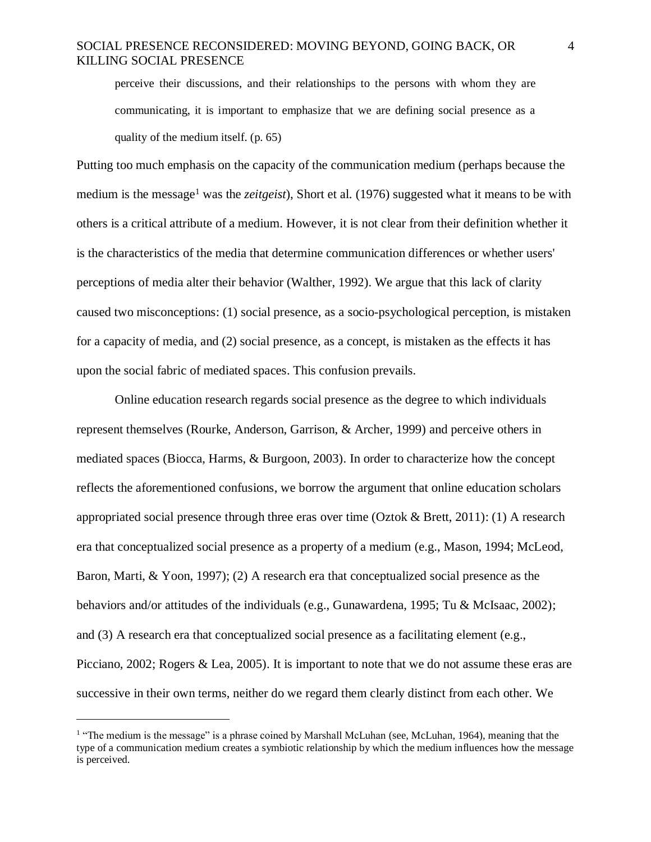perceive their discussions, and their relationships to the persons with whom they are communicating, it is important to emphasize that we are defining social presence as a quality of the medium itself. (p. 65)

Putting too much emphasis on the capacity of the communication medium (perhaps because the medium is the message<sup>1</sup> was the *zeitgeist*), Short et al. (1976) suggested what it means to be with others is a critical attribute of a medium. However, it is not clear from their definition whether it is the characteristics of the media that determine communication differences or whether users' perceptions of media alter their behavior (Walther, 1992). We argue that this lack of clarity caused two misconceptions: (1) social presence, as a socio-psychological perception, is mistaken for a capacity of media, and (2) social presence, as a concept, is mistaken as the effects it has upon the social fabric of mediated spaces. This confusion prevails.

Online education research regards social presence as the degree to which individuals represent themselves (Rourke, Anderson, Garrison, & Archer, 1999) and perceive others in mediated spaces (Biocca, Harms, & Burgoon, 2003). In order to characterize how the concept reflects the aforementioned confusions, we borrow the argument that online education scholars appropriated social presence through three eras over time (Oztok & Brett, 2011): (1) A research era that conceptualized social presence as a property of a medium (e.g., Mason, 1994; McLeod, Baron, Marti, & Yoon, 1997); (2) A research era that conceptualized social presence as the behaviors and/or attitudes of the individuals (e.g., Gunawardena, 1995; Tu & McIsaac, 2002); and (3) A research era that conceptualized social presence as a facilitating element (e.g., Picciano, 2002; Rogers & Lea, 2005). It is important to note that we do not assume these eras are successive in their own terms, neither do we regard them clearly distinct from each other. We

 $\overline{a}$ 

<sup>&</sup>lt;sup>1</sup> "The medium is the message" is a phrase coined by Marshall McLuhan (see, McLuhan, 1964), meaning that the type of a communication medium creates a symbiotic relationship by which the medium influences how the message is perceived.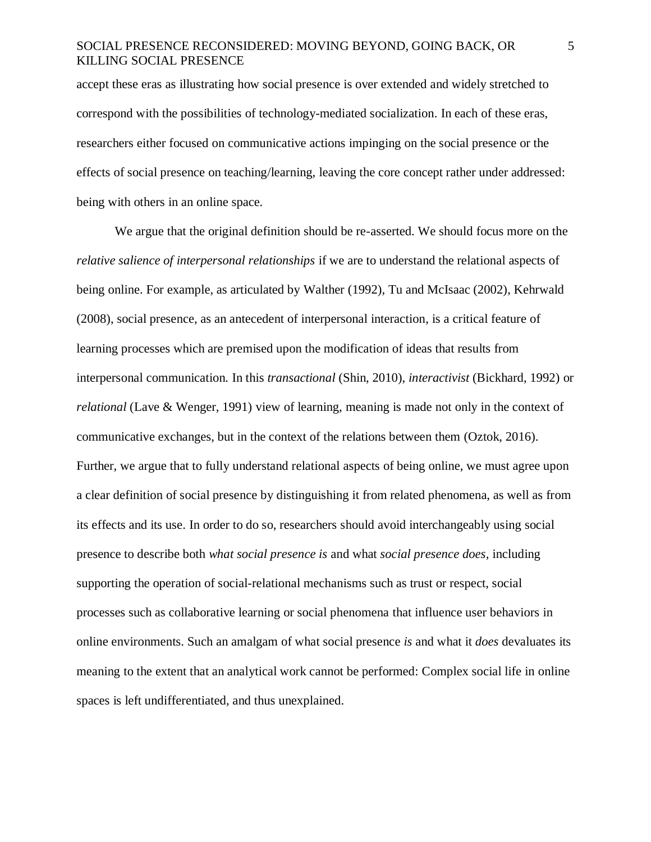accept these eras as illustrating how social presence is over extended and widely stretched to correspond with the possibilities of technology-mediated socialization. In each of these eras, researchers either focused on communicative actions impinging on the social presence or the effects of social presence on teaching/learning, leaving the core concept rather under addressed: being with others in an online space.

We argue that the original definition should be re-asserted. We should focus more on the *relative salience of interpersonal relationships* if we are to understand the relational aspects of being online. For example, as articulated by Walther (1992), Tu and McIsaac (2002), Kehrwald (2008), social presence, as an antecedent of interpersonal interaction, is a critical feature of learning processes which are premised upon the modification of ideas that results from interpersonal communication. In this *transactional* (Shin, 2010), *interactivist* (Bickhard, 1992) or *relational* (Lave & Wenger, 1991) view of learning, meaning is made not only in the context of communicative exchanges, but in the context of the relations between them (Oztok, 2016). Further, we argue that to fully understand relational aspects of being online, we must agree upon a clear definition of social presence by distinguishing it from related phenomena, as well as from its effects and its use. In order to do so, researchers should avoid interchangeably using social presence to describe both *what social presence is* and what *social presence does,* including supporting the operation of social-relational mechanisms such as trust or respect, social processes such as collaborative learning or social phenomena that influence user behaviors in online environments. Such an amalgam of what social presence *is* and what it *does* devaluates its meaning to the extent that an analytical work cannot be performed: Complex social life in online spaces is left undifferentiated, and thus unexplained.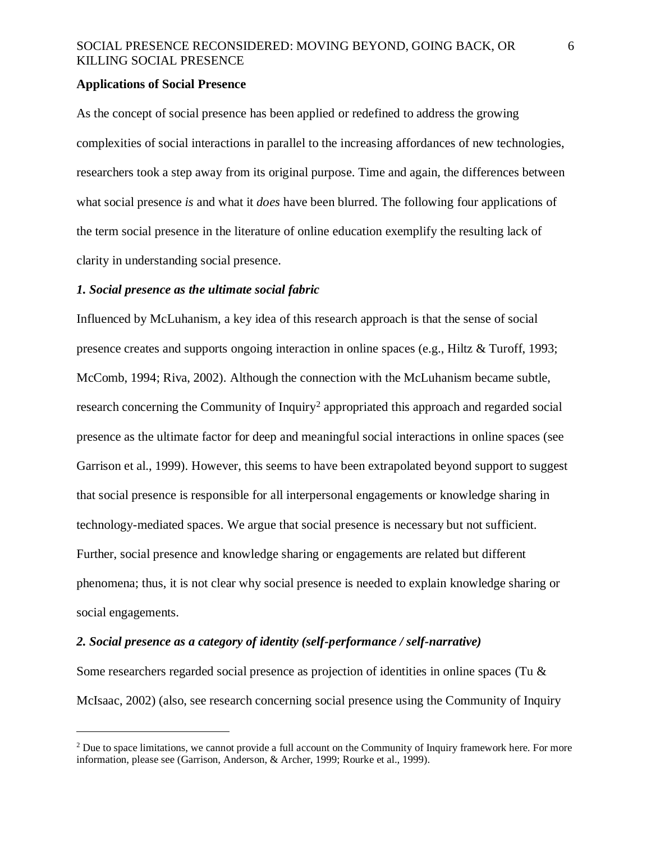#### **Applications of Social Presence**

As the concept of social presence has been applied or redefined to address the growing complexities of social interactions in parallel to the increasing affordances of new technologies, researchers took a step away from its original purpose. Time and again, the differences between what social presence *is* and what it *does* have been blurred. The following four applications of the term social presence in the literature of online education exemplify the resulting lack of clarity in understanding social presence.

#### *1. Social presence as the ultimate social fabric*

 $\overline{a}$ 

Influenced by McLuhanism, a key idea of this research approach is that the sense of social presence creates and supports ongoing interaction in online spaces (e.g., Hiltz & Turoff, 1993; McComb, 1994; Riva, 2002). Although the connection with the McLuhanism became subtle, research concerning the Community of Inquiry<sup>2</sup> appropriated this approach and regarded social presence as the ultimate factor for deep and meaningful social interactions in online spaces (see Garrison et al., 1999). However, this seems to have been extrapolated beyond support to suggest that social presence is responsible for all interpersonal engagements or knowledge sharing in technology-mediated spaces. We argue that social presence is necessary but not sufficient. Further, social presence and knowledge sharing or engagements are related but different phenomena; thus, it is not clear why social presence is needed to explain knowledge sharing or social engagements.

#### *2. Social presence as a category of identity (self-performance / self-narrative)*

Some researchers regarded social presence as projection of identities in online spaces (Tu & McIsaac, 2002) (also, see research concerning social presence using the Community of Inquiry

<sup>&</sup>lt;sup>2</sup> Due to space limitations, we cannot provide a full account on the Community of Inquiry framework here. For more information, please see (Garrison, Anderson, & Archer, 1999; Rourke et al., 1999).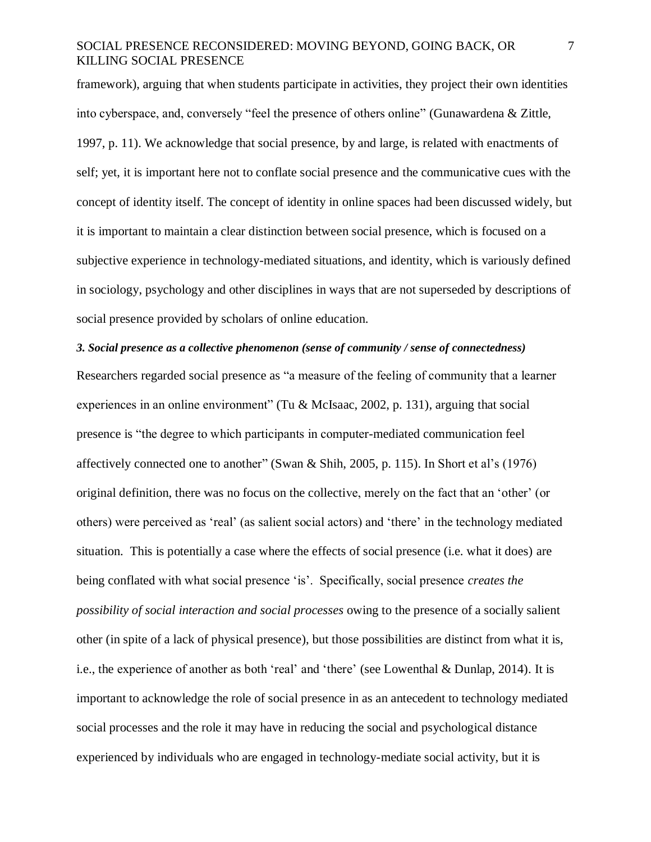framework), arguing that when students participate in activities, they project their own identities into cyberspace, and, conversely "feel the presence of others online" (Gunawardena & Zittle, 1997, p. 11). We acknowledge that social presence, by and large, is related with enactments of self; yet, it is important here not to conflate social presence and the communicative cues with the concept of identity itself. The concept of identity in online spaces had been discussed widely, but it is important to maintain a clear distinction between social presence, which is focused on a subjective experience in technology-mediated situations, and identity, which is variously defined in sociology, psychology and other disciplines in ways that are not superseded by descriptions of social presence provided by scholars of online education.

# *3. Social presence as a collective phenomenon (sense of community / sense of connectedness)*

Researchers regarded social presence as "a measure of the feeling of community that a learner experiences in an online environment" (Tu & McIsaac, 2002, p. 131), arguing that social presence is "the degree to which participants in computer-mediated communication feel affectively connected one to another" (Swan & Shih, 2005, p. 115). In Short et al's (1976) original definition, there was no focus on the collective, merely on the fact that an 'other' (or others) were perceived as 'real' (as salient social actors) and 'there' in the technology mediated situation. This is potentially a case where the effects of social presence (i.e. what it does) are being conflated with what social presence 'is'. Specifically, social presence *creates the possibility of social interaction and social processes* owing to the presence of a socially salient other (in spite of a lack of physical presence), but those possibilities are distinct from what it is, i.e., the experience of another as both 'real' and 'there' (see Lowenthal & Dunlap, 2014). It is important to acknowledge the role of social presence in as an antecedent to technology mediated social processes and the role it may have in reducing the social and psychological distance experienced by individuals who are engaged in technology-mediate social activity, but it is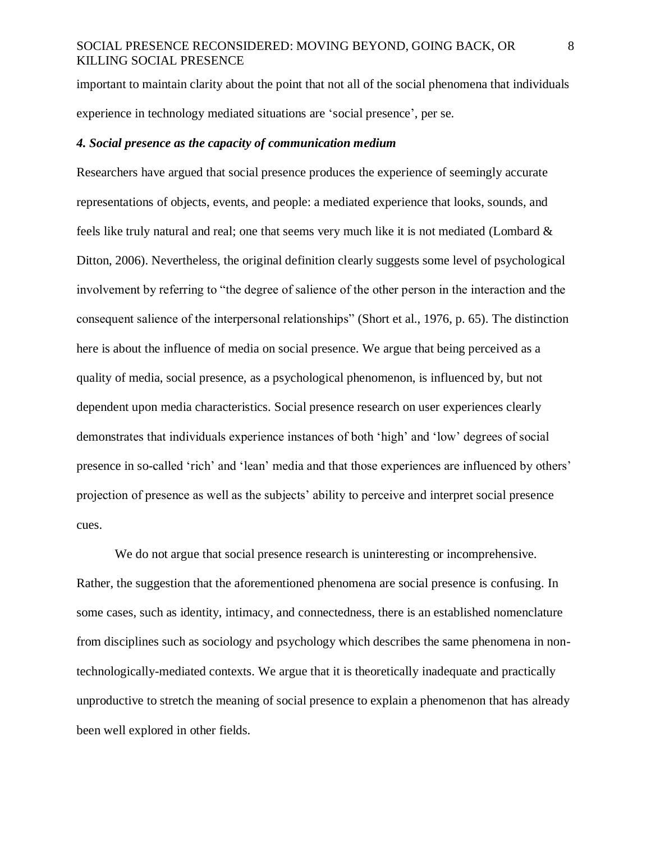important to maintain clarity about the point that not all of the social phenomena that individuals experience in technology mediated situations are 'social presence', per se.

#### *4. Social presence as the capacity of communication medium*

Researchers have argued that social presence produces the experience of seemingly accurate representations of objects, events, and people: a mediated experience that looks, sounds, and feels like truly natural and real; one that seems very much like it is not mediated (Lombard & Ditton, 2006). Nevertheless, the original definition clearly suggests some level of psychological involvement by referring to "the degree of salience of the other person in the interaction and the consequent salience of the interpersonal relationships" (Short et al., 1976, p. 65). The distinction here is about the influence of media on social presence. We argue that being perceived as a quality of media, social presence, as a psychological phenomenon, is influenced by, but not dependent upon media characteristics. Social presence research on user experiences clearly demonstrates that individuals experience instances of both 'high' and 'low' degrees of social presence in so-called 'rich' and 'lean' media and that those experiences are influenced by others' projection of presence as well as the subjects' ability to perceive and interpret social presence cues.

We do not argue that social presence research is uninteresting or incomprehensive. Rather, the suggestion that the aforementioned phenomena are social presence is confusing. In some cases, such as identity, intimacy, and connectedness, there is an established nomenclature from disciplines such as sociology and psychology which describes the same phenomena in nontechnologically-mediated contexts. We argue that it is theoretically inadequate and practically unproductive to stretch the meaning of social presence to explain a phenomenon that has already been well explored in other fields.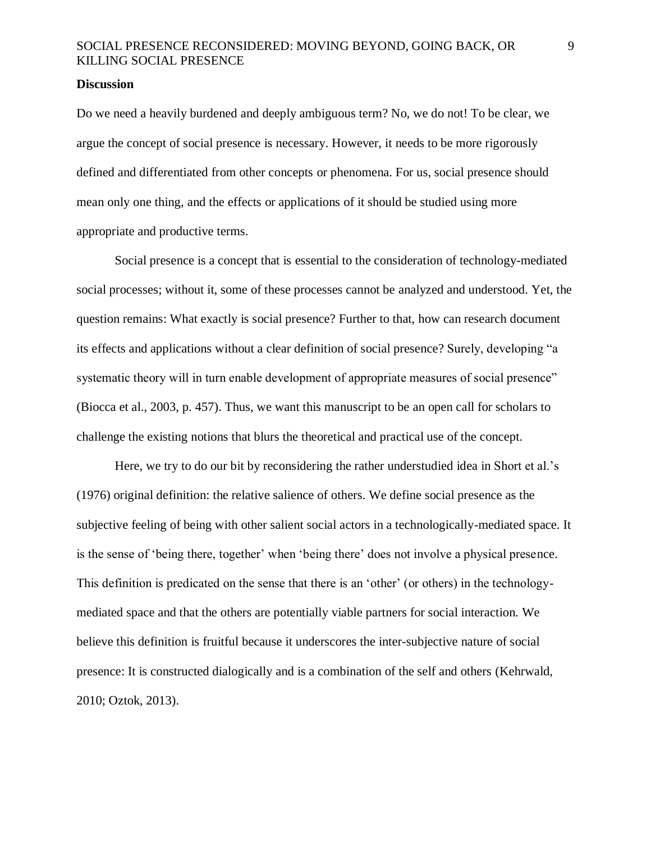#### **Discussion**

Do we need a heavily burdened and deeply ambiguous term? No, we do not! To be clear, we argue the concept of social presence is necessary. However, it needs to be more rigorously defined and differentiated from other concepts or phenomena. For us, social presence should mean only one thing, and the effects or applications of it should be studied using more appropriate and productive terms.

Social presence is a concept that is essential to the consideration of technology-mediated social processes; without it, some of these processes cannot be analyzed and understood. Yet, the question remains: What exactly is social presence? Further to that, how can research document its effects and applications without a clear definition of social presence? Surely, developing "a systematic theory will in turn enable development of appropriate measures of social presence" (Biocca et al., 2003, p. 457). Thus, we want this manuscript to be an open call for scholars to challenge the existing notions that blurs the theoretical and practical use of the concept.

Here, we try to do our bit by reconsidering the rather understudied idea in Short et al.'s (1976) original definition: the relative salience of others. We define social presence as the subjective feeling of being with other salient social actors in a technologically-mediated space. It is the sense of 'being there, together' when 'being there' does not involve a physical presence. This definition is predicated on the sense that there is an 'other' (or others) in the technologymediated space and that the others are potentially viable partners for social interaction. We believe this definition is fruitful because it underscores the inter-subjective nature of social presence: It is constructed dialogically and is a combination of the self and others (Kehrwald, 2010; Oztok, 2013).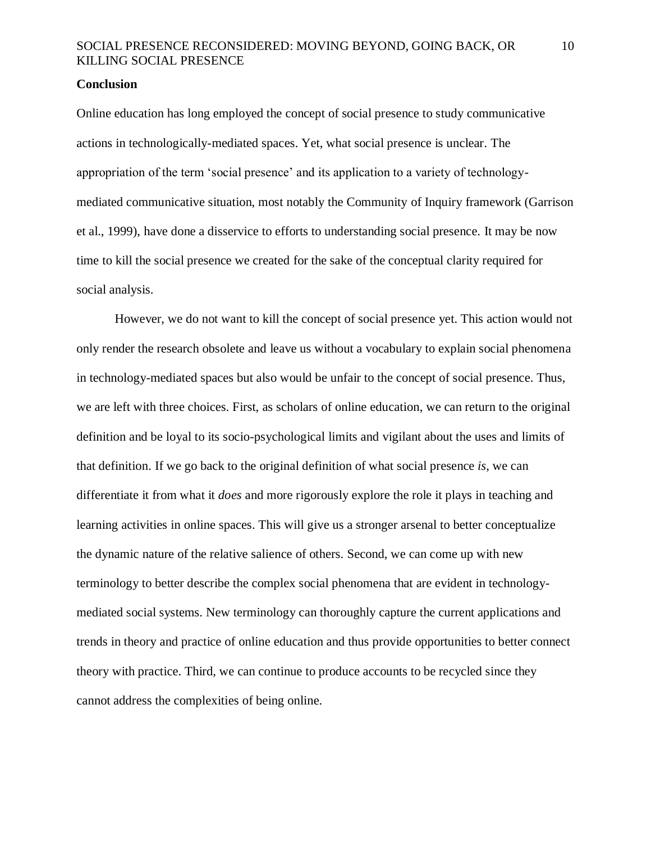#### **Conclusion**

Online education has long employed the concept of social presence to study communicative actions in technologically-mediated spaces. Yet, what social presence is unclear. The appropriation of the term 'social presence' and its application to a variety of technologymediated communicative situation, most notably the Community of Inquiry framework (Garrison et al., 1999), have done a disservice to efforts to understanding social presence. It may be now time to kill the social presence we created for the sake of the conceptual clarity required for social analysis.

However, we do not want to kill the concept of social presence yet. This action would not only render the research obsolete and leave us without a vocabulary to explain social phenomena in technology-mediated spaces but also would be unfair to the concept of social presence. Thus, we are left with three choices. First, as scholars of online education, we can return to the original definition and be loyal to its socio-psychological limits and vigilant about the uses and limits of that definition. If we go back to the original definition of what social presence *is*, we can differentiate it from what it *does* and more rigorously explore the role it plays in teaching and learning activities in online spaces. This will give us a stronger arsenal to better conceptualize the dynamic nature of the relative salience of others. Second, we can come up with new terminology to better describe the complex social phenomena that are evident in technologymediated social systems. New terminology can thoroughly capture the current applications and trends in theory and practice of online education and thus provide opportunities to better connect theory with practice. Third, we can continue to produce accounts to be recycled since they cannot address the complexities of being online.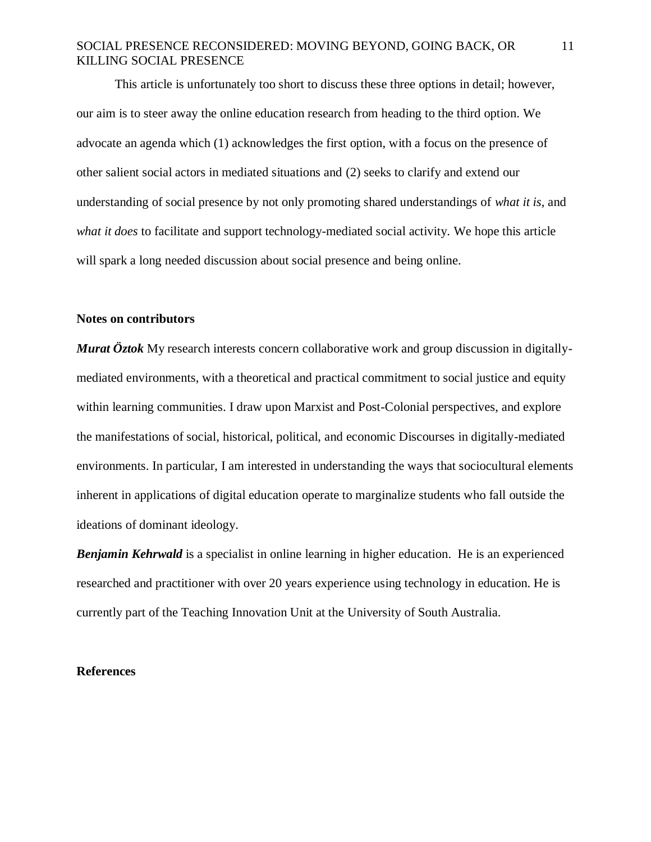This article is unfortunately too short to discuss these three options in detail; however, our aim is to steer away the online education research from heading to the third option. We advocate an agenda which (1) acknowledges the first option, with a focus on the presence of other salient social actors in mediated situations and (2) seeks to clarify and extend our understanding of social presence by not only promoting shared understandings of *what it is*, and *what it does* to facilitate and support technology-mediated social activity. We hope this article will spark a long needed discussion about social presence and being online.

#### **Notes on contributors**

*Murat Öztok* My research interests concern collaborative work and group discussion in digitallymediated environments, with a theoretical and practical commitment to social justice and equity within learning communities. I draw upon Marxist and Post-Colonial perspectives, and explore the manifestations of social, historical, political, and economic Discourses in digitally-mediated environments. In particular, I am interested in understanding the ways that sociocultural elements inherent in applications of digital education operate to marginalize students who fall outside the ideations of dominant ideology.

*Benjamin Kehrwald* is a specialist in online learning in higher education. He is an experienced researched and practitioner with over 20 years experience using technology in education. He is currently part of the Teaching Innovation Unit at the University of South Australia.

#### **References**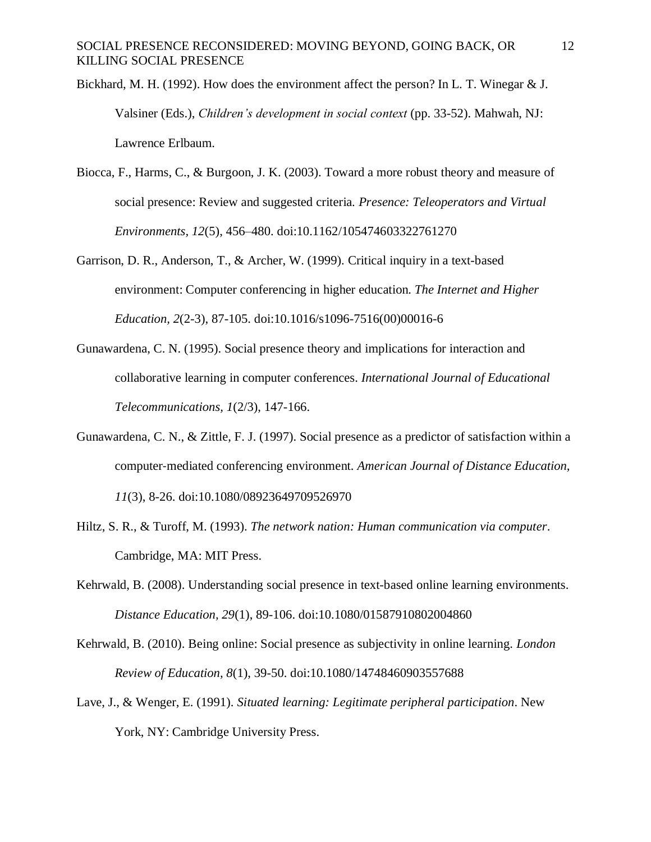Bickhard, M. H. (1992). How does the environment affect the person? In L. T. Winegar & J. Valsiner (Eds.), *Children's development in social context* (pp. 33-52). Mahwah, NJ: Lawrence Erlbaum.

- Biocca, F., Harms, C., & Burgoon, J. K. (2003). Toward a more robust theory and measure of social presence: Review and suggested criteria. *Presence: Teleoperators and Virtual Environments, 12*(5), 456–480. doi:10.1162/105474603322761270
- Garrison, D. R., Anderson, T., & Archer, W. (1999). Critical inquiry in a text-based environment: Computer conferencing in higher education. *The Internet and Higher Education, 2*(2-3), 87-105. doi:10.1016/s1096-7516(00)00016-6
- Gunawardena, C. N. (1995). Social presence theory and implications for interaction and collaborative learning in computer conferences. *International Journal of Educational Telecommunications, 1*(2/3), 147-166.
- Gunawardena, C. N., & Zittle, F. J. (1997). Social presence as a predictor of satisfaction within a computer‐mediated conferencing environment. *American Journal of Distance Education, 11*(3), 8-26. doi:10.1080/08923649709526970
- Hiltz, S. R., & Turoff, M. (1993). *The network nation: Human communication via computer*. Cambridge, MA: MIT Press.
- Kehrwald, B. (2008). Understanding social presence in text-based online learning environments. *Distance Education, 29*(1), 89-106. doi:10.1080/01587910802004860
- Kehrwald, B. (2010). Being online: Social presence as subjectivity in online learning. *London Review of Education, 8*(1), 39-50. doi:10.1080/14748460903557688
- Lave, J., & Wenger, E. (1991). *Situated learning: Legitimate peripheral participation*. New York, NY: Cambridge University Press.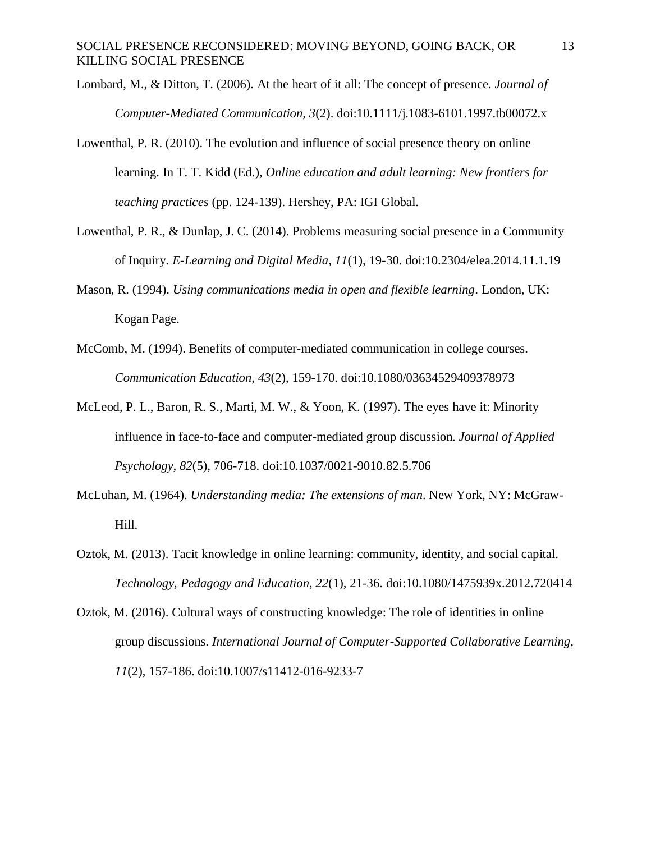- Lombard, M., & Ditton, T. (2006). At the heart of it all: The concept of presence. *Journal of Computer-Mediated Communication, 3*(2). doi:10.1111/j.1083-6101.1997.tb00072.x
- Lowenthal, P. R. (2010). The evolution and influence of social presence theory on online learning. In T. T. Kidd (Ed.), *Online education and adult learning: New frontiers for teaching practices* (pp. 124-139). Hershey, PA: IGI Global.
- Lowenthal, P. R., & Dunlap, J. C. (2014). Problems measuring social presence in a Community of Inquiry. *E-Learning and Digital Media, 11*(1), 19-30. doi:10.2304/elea.2014.11.1.19
- Mason, R. (1994). *Using communications media in open and flexible learning*. London, UK: Kogan Page.
- McComb, M. (1994). Benefits of computer-mediated communication in college courses. *Communication Education, 43*(2), 159-170. doi:10.1080/03634529409378973
- McLeod, P. L., Baron, R. S., Marti, M. W., & Yoon, K. (1997). The eyes have it: Minority influence in face-to-face and computer-mediated group discussion. *Journal of Applied Psychology, 82*(5), 706-718. doi:10.1037/0021-9010.82.5.706
- McLuhan, M. (1964). *Understanding media: The extensions of man*. New York, NY: McGraw-Hill.
- Oztok, M. (2013). Tacit knowledge in online learning: community, identity, and social capital. *Technology, Pedagogy and Education, 22*(1), 21-36. doi:10.1080/1475939x.2012.720414
- Oztok, M. (2016). Cultural ways of constructing knowledge: The role of identities in online group discussions. *International Journal of Computer-Supported Collaborative Learning, 11*(2), 157-186. doi:10.1007/s11412-016-9233-7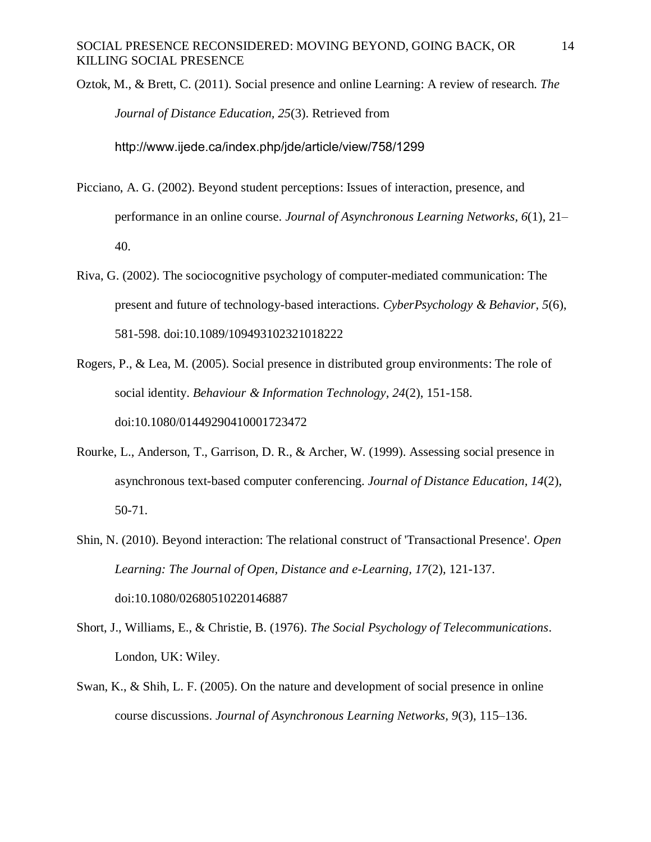Oztok, M., & Brett, C. (2011). Social presence and online Learning: A review of research. *The Journal of Distance Education, 25*(3). Retrieved from http://www.ijede.ca/index.php/jde/article/view/758/1299

- Picciano, A. G. (2002). Beyond student perceptions: Issues of interaction, presence, and performance in an online course. *Journal of Asynchronous Learning Networks, 6*(1), 21– 40.
- Riva, G. (2002). The sociocognitive psychology of computer-mediated communication: The present and future of technology-based interactions. *CyberPsychology & Behavior, 5*(6), 581-598. doi:10.1089/109493102321018222
- Rogers, P., & Lea, M. (2005). Social presence in distributed group environments: The role of social identity. *Behaviour & Information Technology, 24*(2), 151-158. doi:10.1080/01449290410001723472
- Rourke, L., Anderson, T., Garrison, D. R., & Archer, W. (1999). Assessing social presence in asynchronous text-based computer conferencing. *Journal of Distance Education, 14*(2), 50-71.
- Shin, N. (2010). Beyond interaction: The relational construct of 'Transactional Presence'. *Open Learning: The Journal of Open, Distance and e-Learning, 17*(2), 121-137. doi:10.1080/02680510220146887
- Short, J., Williams, E., & Christie, B. (1976). *The Social Psychology of Telecommunications*. London, UK: Wiley.
- Swan, K., & Shih, L. F. (2005). On the nature and development of social presence in online course discussions. *Journal of Asynchronous Learning Networks, 9*(3), 115–136.